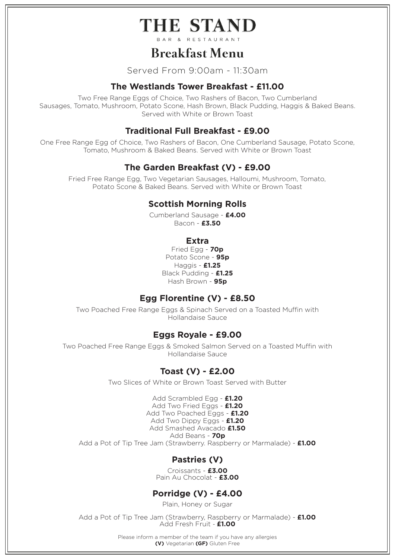# THE STAND

# **Breakfast Menu**

Served From 9:00am - 11:30am

### **The Westlands Tower Breakfast - £11.00**

Two Free Range Eggs of Choice, Two Rashers of Bacon, Two Cumberland Sausages, Tomato, Mushroom, Potato Scone, Hash Brown, Black Pudding, Haggis & Baked Beans. Served with White or Brown Toast

## **Traditional Full Breakfast - £9.00**

One Free Range Egg of Choice, Two Rashers of Bacon, One Cumberland Sausage, Potato Scone, Tomato, Mushroom & Baked Beans. Served with White or Brown Toast

## **The Garden Breakfast (V) - £9.00**

Fried Free Range Egg, Two Vegetarian Sausages, Halloumi, Mushroom, Tomato, Potato Scone & Baked Beans. Served with White or Brown Toast

### **Scottish Morning Rolls**

Cumberland Sausage - **£4.00** Bacon - **£3.50**

### **Extra**

Fried Egg - **70p** Potato Scone - **95p** Haggis - **£1.25** Black Pudding - **£1.25** Hash Brown - **95p**

### **Egg Florentine (V) - £8.50**

Two Poached Free Range Eggs & Spinach Served on a Toasted Muffin with Hollandaise Sauce

### **Eggs Royale - £9.00**

Two Poached Free Range Eggs & Smoked Salmon Served on a Toasted Muffin with Hollandaise Sauce

### **Toast (V) - £2.00**

Two Slices of White or Brown Toast Served with Butter

Add Scrambled Egg - **£1.20** Add Two Fried Eggs - **£1.20** Add Two Poached Eggs - **£1.20** Add Two Dippy Eggs - **£1.20** Add Smashed Avacado **£1.50** Add Beans - **70p** Add a Pot of Tip Tree Jam (Strawberry. Raspberry or Marmalade) - **£1.00**

## **Pastries (V)**

Croissants - **£3.00** Pain Au Chocolat - **£3.00**

# **Porridge (V) - £4.00**

Plain, Honey or Sugar

Add a Pot of Tip Tree Jam (Strawberry, Raspberry or Marmalade) - **£1.00** Add Fresh Fruit - **£1.00**

> Please inform a member of the team if you have any allergies **(V)** Vegetarian **(GF)** Gluten Free